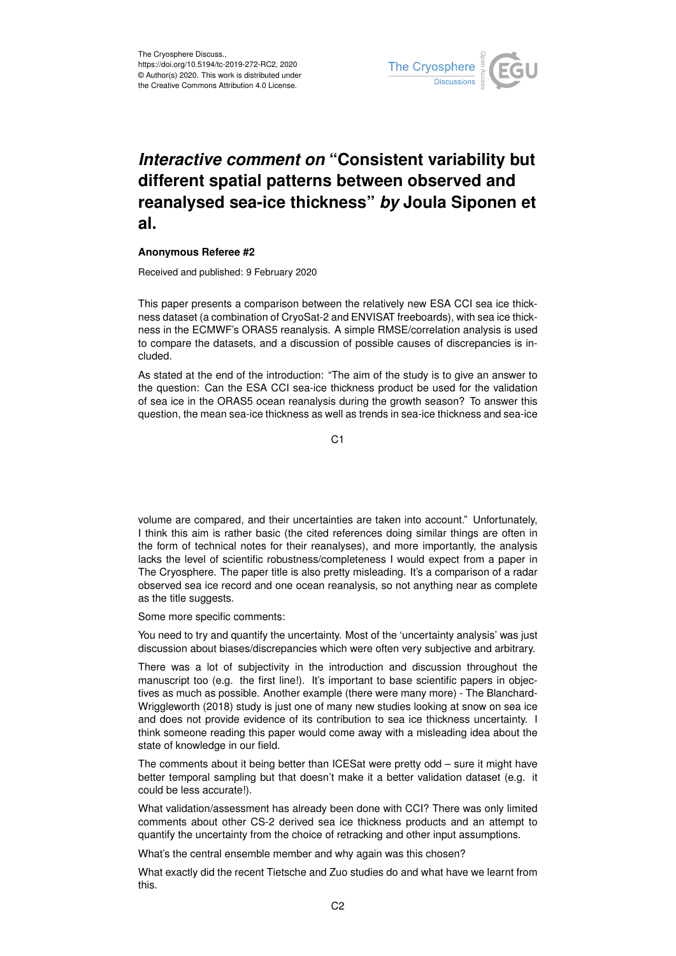

## *Interactive comment on* **"Consistent variability but different spatial patterns between observed and reanalysed sea-ice thickness"** *by* **Joula Siponen et al.**

## **Anonymous Referee #2**

Received and published: 9 February 2020

This paper presents a comparison between the relatively new ESA CCI sea ice thickness dataset (a combination of CryoSat-2 and ENVISAT freeboards), with sea ice thickness in the ECMWF's ORAS5 reanalysis. A simple RMSE/correlation analysis is used to compare the datasets, and a discussion of possible causes of discrepancies is included.

As stated at the end of the introduction: "The aim of the study is to give an answer to the question: Can the ESA CCI sea-ice thickness product be used for the validation of sea ice in the ORAS5 ocean reanalysis during the growth season? To answer this question, the mean sea-ice thickness as well as trends in sea-ice thickness and sea-ice

C1

volume are compared, and their uncertainties are taken into account." Unfortunately, I think this aim is rather basic (the cited references doing similar things are often in the form of technical notes for their reanalyses), and more importantly, the analysis lacks the level of scientific robustness/completeness I would expect from a paper in The Cryosphere. The paper title is also pretty misleading. It's a comparison of a radar observed sea ice record and one ocean reanalysis, so not anything near as complete as the title suggests.

Some more specific comments:

You need to try and quantify the uncertainty. Most of the 'uncertainty analysis' was just discussion about biases/discrepancies which were often very subjective and arbitrary.

There was a lot of subjectivity in the introduction and discussion throughout the manuscript too (e.g. the first line!). It's important to base scientific papers in objectives as much as possible. Another example (there were many more) - The Blanchard-Wriggleworth (2018) study is just one of many new studies looking at snow on sea ice and does not provide evidence of its contribution to sea ice thickness uncertainty. I think someone reading this paper would come away with a misleading idea about the state of knowledge in our field.

The comments about it being better than ICESat were pretty odd – sure it might have better temporal sampling but that doesn't make it a better validation dataset (e.g. it could be less accurate!).

What validation/assessment has already been done with CCI? There was only limited comments about other CS-2 derived sea ice thickness products and an attempt to quantify the uncertainty from the choice of retracking and other input assumptions.

What's the central ensemble member and why again was this chosen?

What exactly did the recent Tietsche and Zuo studies do and what have we learnt from this.